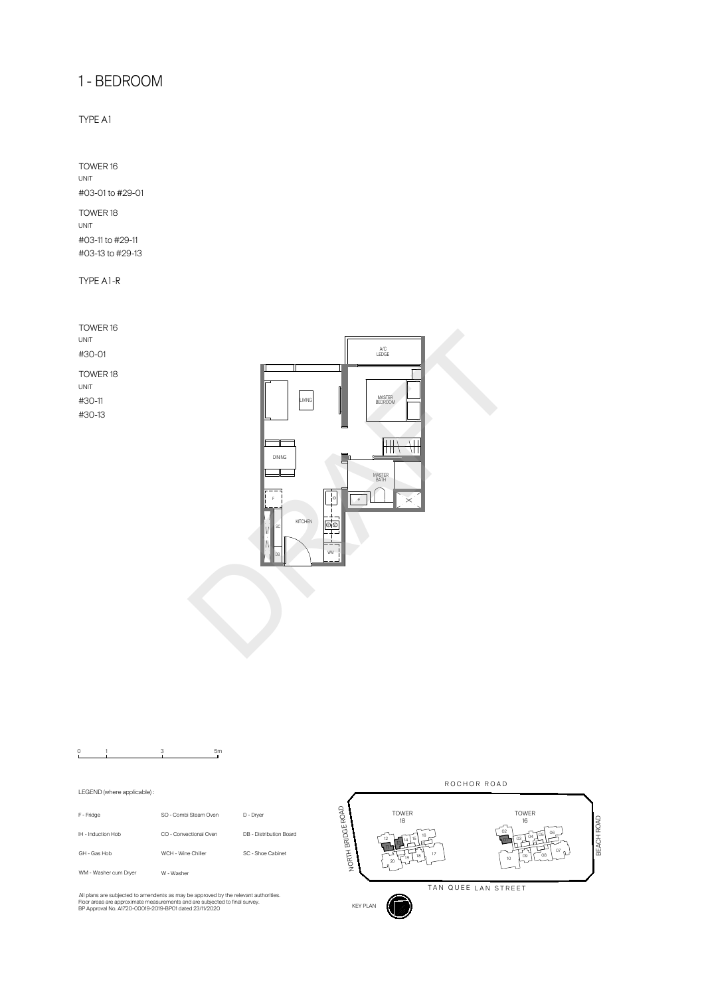

|                             | 3<br>5m                |                         |
|-----------------------------|------------------------|-------------------------|
| LEGEND (where applicable) : |                        |                         |
| F - Fridge                  | SO - Combi Steam Oven  | D - Dryer               |
| IH - Induction Hob          | CO - Convectional Oven | DB - Distribution Board |
| GH - Gas Hob                | WCH - Wine Chiller     | SC - Shoe Cabinet       |
| WM - Washer cum Drver       | W - Washer             |                         |

All plans are subjected to amendents as may be approved by the relevant authorities.<br>Floor areas are approximate measurements and are subjected to final survey.<br>BP Approval No. A1720-00019-2019-BP01 dated 23/11/2020

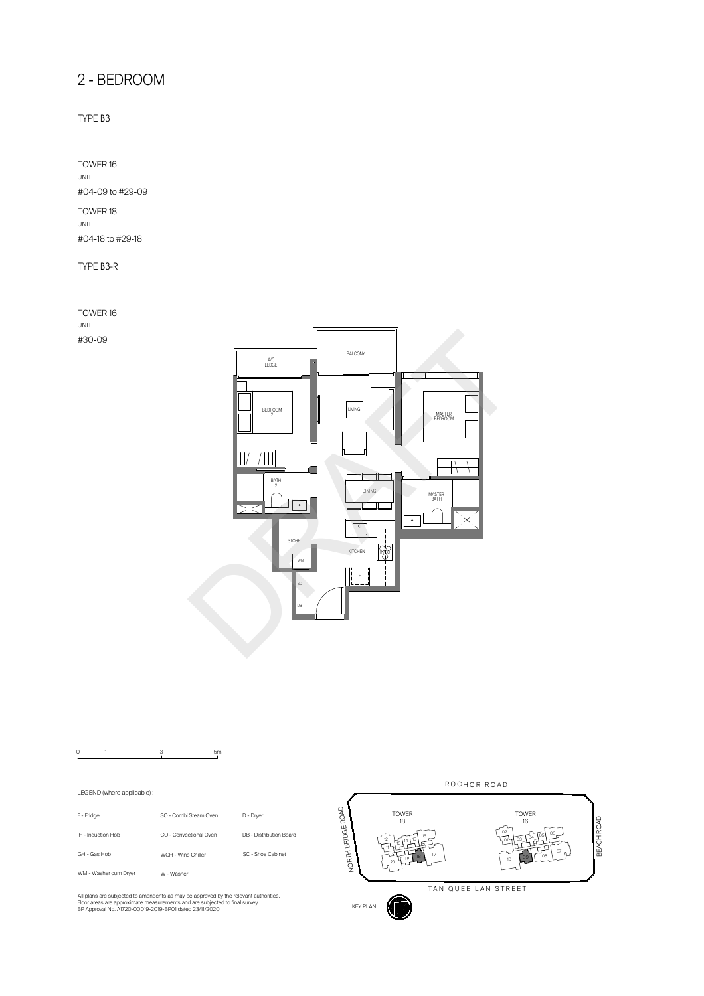

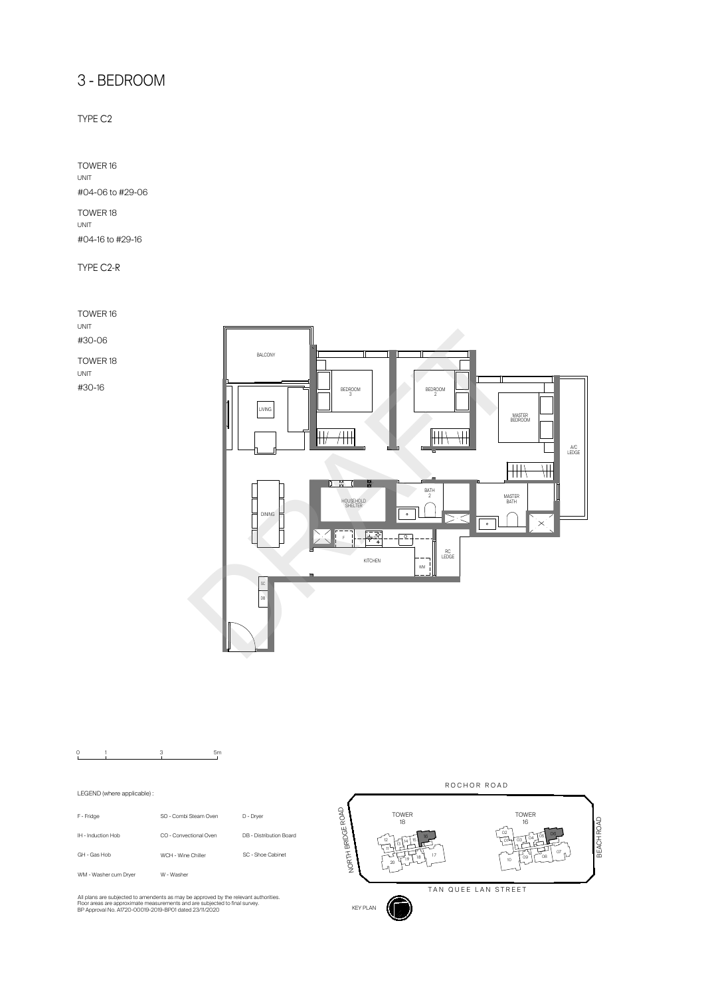

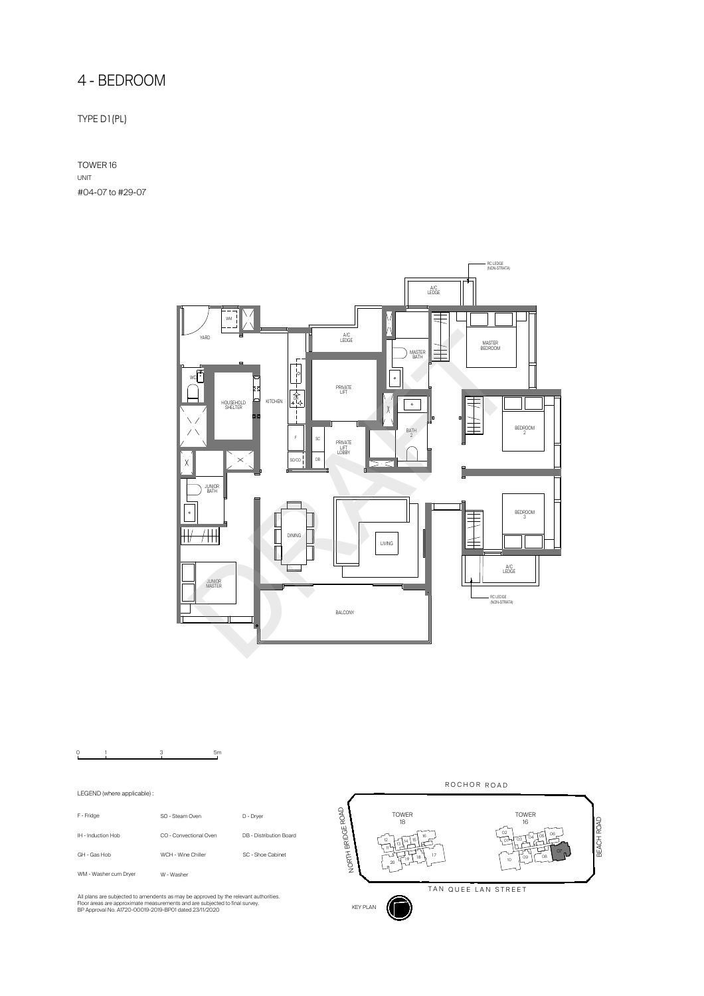